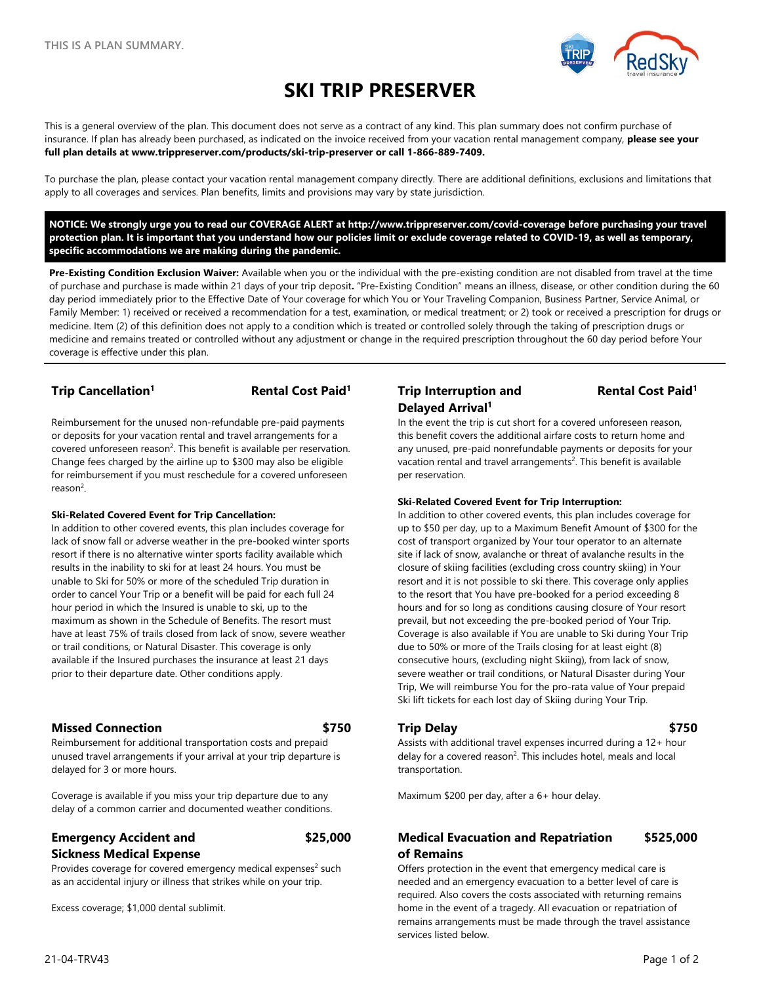

# **SKI TRIP PRESERVER**

This is a general overview of the plan. This document does not serve as a contract of any kind. This plan summary does not confirm purchase of insurance. If plan has already been purchased, as indicated on the invoice received from your vacation rental management company, **please see your full plan details at www.trippreserver.com/products/ski-trip-preserver or call 1-866-889-7409.**

To purchase the plan, please contact your vacation rental management company directly. There are additional definitions, exclusions and limitations that apply to all coverages and services. Plan benefits, limits and provisions may vary by state jurisdiction.

**NOTICE: We strongly urge you to read our COVERAGE ALERT at<http://www.trippreserver.com/covid-coverage> before purchasing your travel protection plan. It is important that you understand how our policies limit or exclude coverage related to COVID-19, as well as temporary, specific accommodations we are making during the pandemic.**

**Pre-Existing Condition Exclusion Waiver:** Available when you or the individual with the pre-existing condition are not disabled from travel at the time of purchase and purchase is made within 21 days of your trip deposit**.** "Pre-Existing Condition" means an illness, disease, or other condition during the 60 day period immediately prior to the Effective Date of Your coverage for which You or Your Traveling Companion, Business Partner, Service Animal, or Family Member: 1) received or received a recommendation for a test, examination, or medical treatment; or 2) took or received a prescription for drugs or medicine. Item (2) of this definition does not apply to a condition which is treated or controlled solely through the taking of prescription drugs or medicine and remains treated or controlled without any adjustment or change in the required prescription throughout the 60 day period before Your coverage is effective under this plan.

Reimbursement for the unused non-refundable pre-paid payments or deposits for your vacation rental and travel arrangements for a covered unforeseen reason<sup>2</sup>. This benefit is available per reservation. Change fees charged by the airline up to \$300 may also be eligible for reimbursement if you must reschedule for a covered unforeseen reason<sup>2</sup>.

### **Ski-Related Covered Event for Trip Cancellation:**

In addition to other covered events, this plan includes coverage for lack of snow fall or adverse weather in the pre-booked winter sports resort if there is no alternative winter sports facility available which results in the inability to ski for at least 24 hours. You must be unable to Ski for 50% or more of the scheduled Trip duration in order to cancel Your Trip or a benefit will be paid for each full 24 hour period in which the Insured is unable to ski, up to the maximum as shown in the Schedule of Benefits. The resort must have at least 75% of trails closed from lack of snow, severe weather or trail conditions, or Natural Disaster. This coverage is only available if the Insured purchases the insurance at least 21 days prior to their departure date. Other conditions apply.

### **Missed Connection \$750 Trip Delay \$750**

Reimbursement for additional transportation costs and prepaid unused travel arrangements if your arrival at your trip departure is delayed for 3 or more hours.

Coverage is available if you miss your trip departure due to any delay of a common carrier and documented weather conditions.

### **Emergency Accident and Sickness Medical Expense**

Provides coverage for covered emergency medical expenses<sup>2</sup> such as an accidental injury or illness that strikes while on your trip.

Excess coverage; \$1,000 dental sublimit.

## **Trip Cancellation1 Rental Cost Paid1 Trip Interruption and Delayed Arrival1**

### **Rental Cost Paid1**

In the event the trip is cut short for a covered unforeseen reason, this benefit covers the additional airfare costs to return home and any unused, pre-paid nonrefundable payments or deposits for your vacation rental and travel arrangements<sup>2</sup>. This benefit is available per reservation.

### **Ski-Related Covered Event for Trip Interruption:**

In addition to other covered events, this plan includes coverage for up to \$50 per day, up to a Maximum Benefit Amount of \$300 for the cost of transport organized by Your tour operator to an alternate site if lack of snow, avalanche or threat of avalanche results in the closure of skiing facilities (excluding cross country skiing) in Your resort and it is not possible to ski there. This coverage only applies to the resort that You have pre-booked for a period exceeding 8 hours and for so long as conditions causing closure of Your resort prevail, but not exceeding the pre-booked period of Your Trip. Coverage is also available if You are unable to Ski during Your Trip due to 50% or more of the Trails closing for at least eight (8) consecutive hours, (excluding night Skiing), from lack of snow, severe weather or trail conditions, or Natural Disaster during Your Trip, We will reimburse You for the pro-rata value of Your prepaid Ski lift tickets for each lost day of Skiing during Your Trip.

Assists with additional travel expenses incurred during a 12+ hour delay for a covered reason<sup>2</sup>. This includes hotel, meals and local transportation.

Maximum \$200 per day, after a 6+ hour delay.

### **\$25,000 Medical Evacuation and Repatriation of Remains \$525,000**

Offers protection in the event that emergency medical care is needed and an emergency evacuation to a better level of care is required. Also covers the costs associated with returning remains home in the event of a tragedy. All evacuation or repatriation of remains arrangements must be made through the travel assistance services listed below.